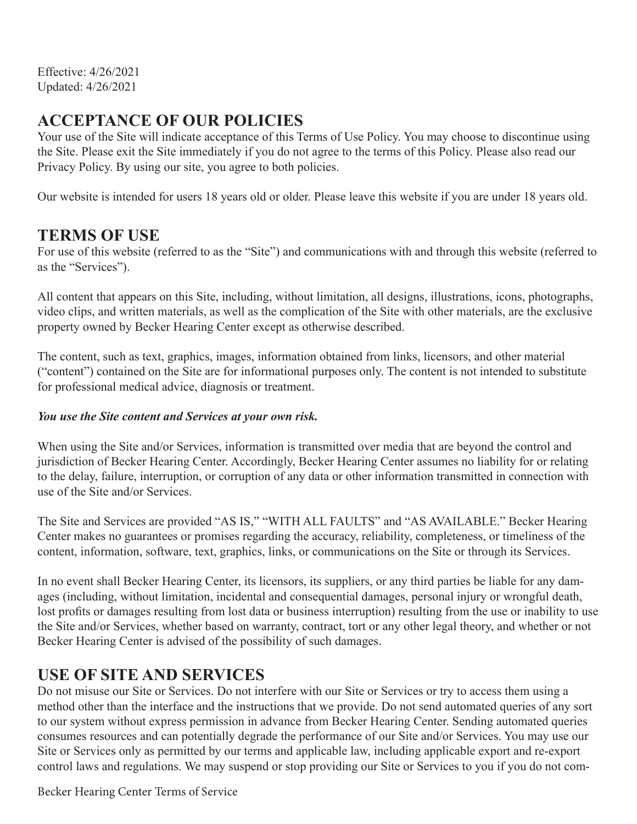Effective: 4/26/2021 Updated: 4/26/2021

#### **ACCEPTANCE OF OUR POLICIES**

Your use of the Site will indicate acceptance of this Terms of Use Policy. You may choose to discontinue using the Site. Please exit the Site immediately if you do not agree to the terms of this Policy. Please also read our Privacy Policy. By using our site, you agree to both policies.

Our website is intended for users 18 years old or older. Please leave this website if you are under 18 years old.

#### **TERMS OF USE**

For use of this website (referred to as the "Site") and communications with and through this website (referred to as the "Services").

All content that appears on this Site, including, without limitation, all designs, illustrations, icons, photographs, video clips, and written materials, as well as the complication of the Site with other materials, are the exclusive property owned by Becker Hearing Center except as otherwise described.

The content, such as text, graphics, images, information obtained from links, licensors, and other material ("content") contained on the Site are for informational purposes only. The content is not intended to substitute for professional medical advice, diagnosis or treatment.

#### *You use the Site content and Services at your own risk.*

When using the Site and/or Services, information is transmitted over media that are beyond the control and jurisdiction of Becker Hearing Center. Accordingly, Becker Hearing Center assumes no liability for or relating to the delay, failure, interruption, or corruption of any data or other information transmitted in connection with use of the Site and/or Services.

The Site and Services are provided "AS IS," "WITH ALL FAULTS" and "AS AVAILABLE." Becker Hearing Center makes no guarantees or promises regarding the accuracy, reliability, completeness, or timeliness of the content, information, software, text, graphics, links, or communications on the Site or through its Services.

In no event shall Becker Hearing Center, its licensors, its suppliers, or any third parties be liable for any damages (including, without limitation, incidental and consequential damages, personal injury or wrongful death, lost profits or damages resulting from lost data or business interruption) resulting from the use or inability to use the Site and/or Services, whether based on warranty, contract, tort or any other legal theory, and whether or not Becker Hearing Center is advised of the possibility of such damages.

#### **USE OF SITE AND SERVICES**

Do not misuse our Site or Services. Do not interfere with our Site or Services or try to access them using a method other than the interface and the instructions that we provide. Do not send automated queries of any sort to our system without express permission in advance from Becker Hearing Center. Sending automated queries consumes resources and can potentially degrade the performance of our Site and/or Services. You may use our Site or Services only as permitted by our terms and applicable law, including applicable export and re-export control laws and regulations. We may suspend or stop providing our Site or Services to you if you do not com-

Becker Hearing Center Terms of Service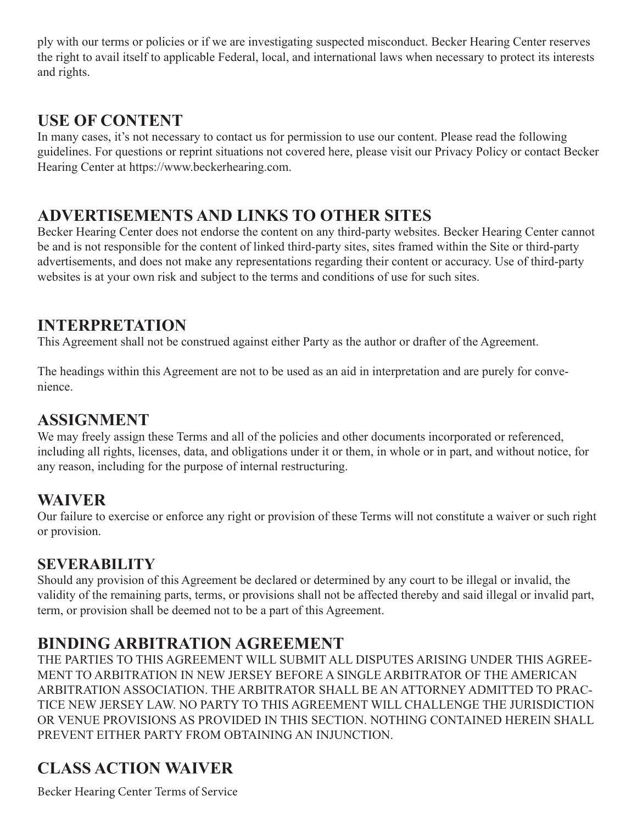ply with our terms or policies or if we are investigating suspected misconduct. Becker Hearing Center reserves the right to avail itself to applicable Federal, local, and international laws when necessary to protect its interests and rights.

# **USE OF CONTENT**

In many cases, it's not necessary to contact us for permission to use our content. Please read the following guidelines. For questions or reprint situations not covered here, please visit our Privacy Policy or contact Becker Hearing Center at https://www.beckerhearing.com.

# **ADVERTISEMENTS AND LINKS TO OTHER SITES**

Becker Hearing Center does not endorse the content on any third-party websites. Becker Hearing Center cannot be and is not responsible for the content of linked third-party sites, sites framed within the Site or third-party advertisements, and does not make any representations regarding their content or accuracy. Use of third-party websites is at your own risk and subject to the terms and conditions of use for such sites.

#### **INTERPRETATION**

This Agreement shall not be construed against either Party as the author or drafter of the Agreement.

The headings within this Agreement are not to be used as an aid in interpretation and are purely for convenience.

# **ASSIGNMENT**

We may freely assign these Terms and all of the policies and other documents incorporated or referenced, including all rights, licenses, data, and obligations under it or them, in whole or in part, and without notice, for any reason, including for the purpose of internal restructuring.

# **WAIVER**

Our failure to exercise or enforce any right or provision of these Terms will not constitute a waiver or such right or provision.

#### **SEVERABILITY**

Should any provision of this Agreement be declared or determined by any court to be illegal or invalid, the validity of the remaining parts, terms, or provisions shall not be affected thereby and said illegal or invalid part, term, or provision shall be deemed not to be a part of this Agreement.

# **BINDING ARBITRATION AGREEMENT**

THE PARTIES TO THIS AGREEMENT WILL SUBMIT ALL DISPUTES ARISING UNDER THIS AGREE-MENT TO ARBITRATION IN NEW JERSEY BEFORE A SINGLE ARBITRATOR OF THE AMERICAN ARBITRATION ASSOCIATION. THE ARBITRATOR SHALL BE AN ATTORNEY ADMITTED TO PRAC-TICE NEW JERSEY LAW. NO PARTY TO THIS AGREEMENT WILL CHALLENGE THE JURISDICTION OR VENUE PROVISIONS AS PROVIDED IN THIS SECTION. NOTHING CONTAINED HEREIN SHALL PREVENT EITHER PARTY FROM OBTAINING AN INJUNCTION.

# **CLASS ACTION WAIVER**

Becker Hearing Center Terms of Service